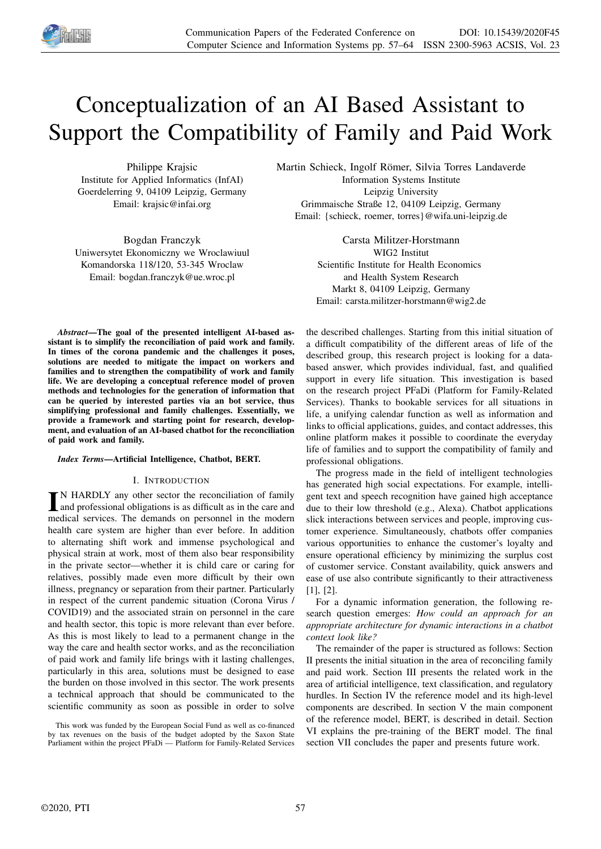

# Conceptualization of an AI Based Assistant to Support the Compatibility of Family and Paid Work

Philippe Krajsic Institute for Applied Informatics (InfAI) Goerdelerring 9, 04109 Leipzig, Germany Email: krajsic@infai.org

Bogdan Franczyk Uniwersytet Ekonomiczny we Wroclawiuul Komandorska 118/120, 53-345 Wroclaw Email: bogdan.franczyk@ue.wroc.pl

Martin Schieck, Ingolf Römer, Silvia Torres Landaverde Information Systems Institute Leipzig University Grimmaische Straße 12, 04109 Leipzig, Germany Email: {schieck, roemer, torres}@wifa.uni-leipzig.de

> Carsta Militzer-Horstmann WIG2 Institut Scientific Institute for Health Economics and Health System Research Markt 8, 04109 Leipzig, Germany Email: carsta.militzer-horstmann@wig2.de

*Abstract*—The goal of the presented intelligent AI-based assistant is to simplify the reconciliation of paid work and family. In times of the corona pandemic and the challenges it poses, solutions are needed to mitigate the impact on workers and families and to strengthen the compatibility of work and family life. We are developing a conceptual reference model of proven methods and technologies for the generation of information that can be queried by interested parties via an bot service, thus simplifying professional and family challenges. Essentially, we provide a framework and starting point for research, development, and evaluation of an AI-based chatbot for the reconciliation of paid work and family.

# *Index Terms*—Artificial Intelligence, Chatbot, BERT.

#### I. INTRODUCTION

IN HARDLY any other sector the reconciliation of family<br>and professional obligations is as difficult as in the care and<br>modified provises. The demands on approach in the modern N HARDLY any other sector the reconciliation of family medical services. The demands on personnel in the modern health care system are higher than ever before. In addition to alternating shift work and immense psychological and physical strain at work, most of them also bear responsibility in the private sector—whether it is child care or caring for relatives, possibly made even more difficult by their own illness, pregnancy or separation from their partner. Particularly in respect of the current pandemic situation (Corona Virus / COVID19) and the associated strain on personnel in the care and health sector, this topic is more relevant than ever before. As this is most likely to lead to a permanent change in the way the care and health sector works, and as the reconciliation of paid work and family life brings with it lasting challenges, particularly in this area, solutions must be designed to ease the burden on those involved in this sector. The work presents a technical approach that should be communicated to the scientific community as soon as possible in order to solve

This work was funded by the European Social Fund as well as co-financed by tax revenues on the basis of the budget adopted by the Saxon State Parliament within the project PFaDi — Platform for Family-Related Services

the described challenges. Starting from this initial situation of a difficult compatibility of the different areas of life of the described group, this research project is looking for a databased answer, which provides individual, fast, and qualified support in every life situation. This investigation is based on the research project PFaDi (Platform for Family-Related Services). Thanks to bookable services for all situations in life, a unifying calendar function as well as information and links to official applications, guides, and contact addresses, this online platform makes it possible to coordinate the everyday life of families and to support the compatibility of family and professional obligations.

The progress made in the field of intelligent technologies has generated high social expectations. For example, intelligent text and speech recognition have gained high acceptance due to their low threshold (e.g., Alexa). Chatbot applications slick interactions between services and people, improving customer experience. Simultaneously, chatbots offer companies various opportunities to enhance the customer's loyalty and ensure operational efficiency by minimizing the surplus cost of customer service. Constant availability, quick answers and ease of use also contribute significantly to their attractiveness [1], [2].

For a dynamic information generation, the following research question emerges: *How could an approach for an appropriate architecture for dynamic interactions in a chatbot context look like?*

The remainder of the paper is structured as follows: Section II presents the initial situation in the area of reconciling family and paid work. Section III presents the related work in the area of artificial intelligence, text classification, and regulatory hurdles. In Section IV the reference model and its high-level components are described. In section V the main component of the reference model, BERT, is described in detail. Section VI explains the pre-training of the BERT model. The final section VII concludes the paper and presents future work.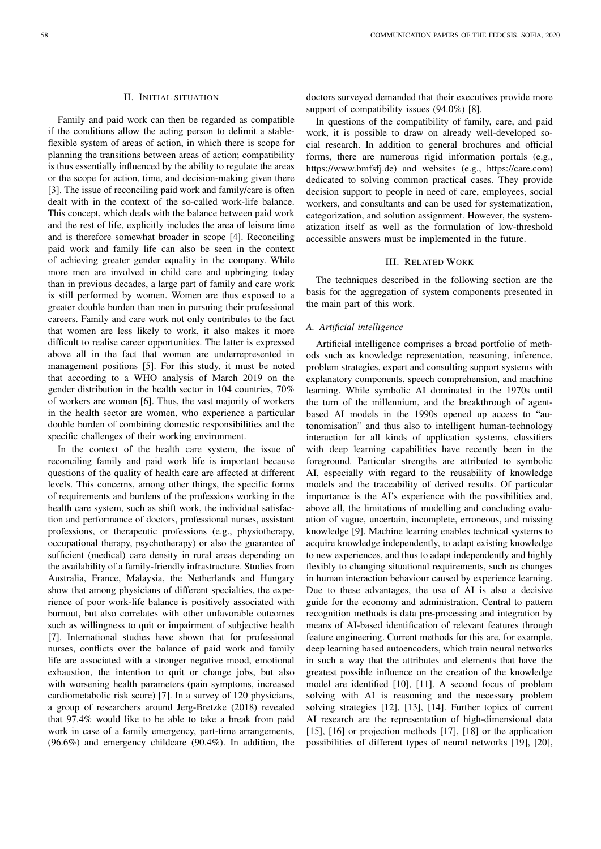## II. INITIAL SITUATION

Family and paid work can then be regarded as compatible if the conditions allow the acting person to delimit a stableflexible system of areas of action, in which there is scope for planning the transitions between areas of action; compatibility is thus essentially influenced by the ability to regulate the areas or the scope for action, time, and decision-making given there [3]. The issue of reconciling paid work and family/care is often dealt with in the context of the so-called work-life balance. This concept, which deals with the balance between paid work and the rest of life, explicitly includes the area of leisure time and is therefore somewhat broader in scope [4]. Reconciling paid work and family life can also be seen in the context of achieving greater gender equality in the company. While more men are involved in child care and upbringing today than in previous decades, a large part of family and care work is still performed by women. Women are thus exposed to a greater double burden than men in pursuing their professional careers. Family and care work not only contributes to the fact that women are less likely to work, it also makes it more difficult to realise career opportunities. The latter is expressed above all in the fact that women are underrepresented in management positions [5]. For this study, it must be noted that according to a WHO analysis of March 2019 on the gender distribution in the health sector in 104 countries, 70% of workers are women [6]. Thus, the vast majority of workers in the health sector are women, who experience a particular double burden of combining domestic responsibilities and the specific challenges of their working environment.

In the context of the health care system, the issue of reconciling family and paid work life is important because questions of the quality of health care are affected at different levels. This concerns, among other things, the specific forms of requirements and burdens of the professions working in the health care system, such as shift work, the individual satisfaction and performance of doctors, professional nurses, assistant professions, or therapeutic professions (e.g., physiotherapy, occupational therapy, psychotherapy) or also the guarantee of sufficient (medical) care density in rural areas depending on the availability of a family-friendly infrastructure. Studies from Australia, France, Malaysia, the Netherlands and Hungary show that among physicians of different specialties, the experience of poor work-life balance is positively associated with burnout, but also correlates with other unfavorable outcomes such as willingness to quit or impairment of subjective health [7]. International studies have shown that for professional nurses, conflicts over the balance of paid work and family life are associated with a stronger negative mood, emotional exhaustion, the intention to quit or change jobs, but also with worsening health parameters (pain symptoms, increased cardiometabolic risk score) [7]. In a survey of 120 physicians, a group of researchers around Jerg-Bretzke (2018) revealed that 97.4% would like to be able to take a break from paid work in case of a family emergency, part-time arrangements, (96.6%) and emergency childcare (90.4%). In addition, the doctors surveyed demanded that their executives provide more support of compatibility issues (94.0%) [8].

In questions of the compatibility of family, care, and paid work, it is possible to draw on already well-developed social research. In addition to general brochures and official forms, there are numerous rigid information portals (e.g., https://www.bmfsfj.de) and websites (e.g., https://care.com) dedicated to solving common practical cases. They provide decision support to people in need of care, employees, social workers, and consultants and can be used for systematization, categorization, and solution assignment. However, the systematization itself as well as the formulation of low-threshold accessible answers must be implemented in the future.

#### III. RELATED WORK

The techniques described in the following section are the basis for the aggregation of system components presented in the main part of this work.

#### *A. Artificial intelligence*

Artificial intelligence comprises a broad portfolio of methods such as knowledge representation, reasoning, inference, problem strategies, expert and consulting support systems with explanatory components, speech comprehension, and machine learning. While symbolic AI dominated in the 1970s until the turn of the millennium, and the breakthrough of agentbased AI models in the 1990s opened up access to "autonomisation" and thus also to intelligent human-technology interaction for all kinds of application systems, classifiers with deep learning capabilities have recently been in the foreground. Particular strengths are attributed to symbolic AI, especially with regard to the reusability of knowledge models and the traceability of derived results. Of particular importance is the AI's experience with the possibilities and, above all, the limitations of modelling and concluding evaluation of vague, uncertain, incomplete, erroneous, and missing knowledge [9]. Machine learning enables technical systems to acquire knowledge independently, to adapt existing knowledge to new experiences, and thus to adapt independently and highly flexibly to changing situational requirements, such as changes in human interaction behaviour caused by experience learning. Due to these advantages, the use of AI is also a decisive guide for the economy and administration. Central to pattern recognition methods is data pre-processing and integration by means of AI-based identification of relevant features through feature engineering. Current methods for this are, for example, deep learning based autoencoders, which train neural networks in such a way that the attributes and elements that have the greatest possible influence on the creation of the knowledge model are identified [10], [11]. A second focus of problem solving with AI is reasoning and the necessary problem solving strategies [12], [13], [14]. Further topics of current AI research are the representation of high-dimensional data [15], [16] or projection methods [17], [18] or the application possibilities of different types of neural networks [19], [20],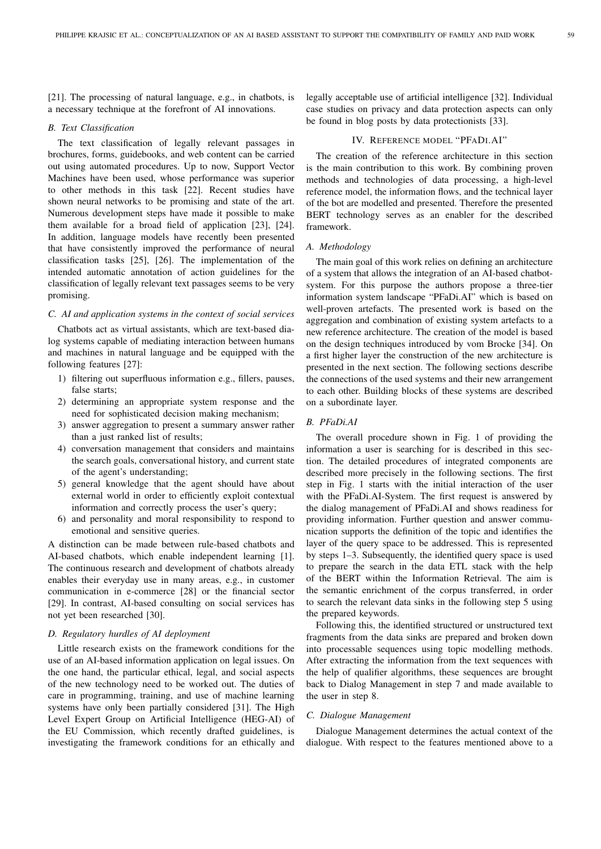[21]. The processing of natural language, e.g., in chatbots, is a necessary technique at the forefront of AI innovations.

## *B. Text Classification*

The text classification of legally relevant passages in brochures, forms, guidebooks, and web content can be carried out using automated procedures. Up to now, Support Vector Machines have been used, whose performance was superior to other methods in this task [22]. Recent studies have shown neural networks to be promising and state of the art. Numerous development steps have made it possible to make them available for a broad field of application [23], [24]. In addition, language models have recently been presented that have consistently improved the performance of neural classification tasks [25], [26]. The implementation of the intended automatic annotation of action guidelines for the classification of legally relevant text passages seems to be very promising.

#### *C. AI and application systems in the context of social services*

Chatbots act as virtual assistants, which are text-based dialog systems capable of mediating interaction between humans and machines in natural language and be equipped with the following features [27]:

- 1) filtering out superfluous information e.g., fillers, pauses, false starts;
- 2) determining an appropriate system response and the need for sophisticated decision making mechanism;
- 3) answer aggregation to present a summary answer rather than a just ranked list of results;
- 4) conversation management that considers and maintains the search goals, conversational history, and current state of the agent's understanding;
- 5) general knowledge that the agent should have about external world in order to efficiently exploit contextual information and correctly process the user's query;
- 6) and personality and moral responsibility to respond to emotional and sensitive queries.

A distinction can be made between rule-based chatbots and AI-based chatbots, which enable independent learning [1]. The continuous research and development of chatbots already enables their everyday use in many areas, e.g., in customer communication in e-commerce [28] or the financial sector [29]. In contrast, AI-based consulting on social services has not yet been researched [30].

## *D. Regulatory hurdles of AI deployment*

Little research exists on the framework conditions for the use of an AI-based information application on legal issues. On the one hand, the particular ethical, legal, and social aspects of the new technology need to be worked out. The duties of care in programming, training, and use of machine learning systems have only been partially considered [31]. The High Level Expert Group on Artificial Intelligence (HEG-AI) of the EU Commission, which recently drafted guidelines, is investigating the framework conditions for an ethically and legally acceptable use of artificial intelligence [32]. Individual case studies on privacy and data protection aspects can only be found in blog posts by data protectionists [33].

## IV. REFERENCE MODEL "PFADI.AI"

The creation of the reference architecture in this section is the main contribution to this work. By combining proven methods and technologies of data processing, a high-level reference model, the information flows, and the technical layer of the bot are modelled and presented. Therefore the presented BERT technology serves as an enabler for the described framework.

#### *A. Methodology*

The main goal of this work relies on defining an architecture of a system that allows the integration of an AI-based chatbotsystem. For this purpose the authors propose a three-tier information system landscape "PFaDi.AI" which is based on well-proven artefacts. The presented work is based on the aggregation and combination of existing system artefacts to a new reference architecture. The creation of the model is based on the design techniques introduced by vom Brocke [34]. On a first higher layer the construction of the new architecture is presented in the next section. The following sections describe the connections of the used systems and their new arrangement to each other. Building blocks of these systems are described on a subordinate layer.

## *B. PFaDi.AI*

The overall procedure shown in Fig. 1 of providing the information a user is searching for is described in this section. The detailed procedures of integrated components are described more precisely in the following sections. The first step in Fig. 1 starts with the initial interaction of the user with the PFaDi.AI-System. The first request is answered by the dialog management of PFaDi.AI and shows readiness for providing information. Further question and answer communication supports the definition of the topic and identifies the layer of the query space to be addressed. This is represented by steps 1–3. Subsequently, the identified query space is used to prepare the search in the data ETL stack with the help of the BERT within the Information Retrieval. The aim is the semantic enrichment of the corpus transferred, in order to search the relevant data sinks in the following step 5 using the prepared keywords.

Following this, the identified structured or unstructured text fragments from the data sinks are prepared and broken down into processable sequences using topic modelling methods. After extracting the information from the text sequences with the help of qualifier algorithms, these sequences are brought back to Dialog Management in step 7 and made available to the user in step 8.

#### *C. Dialogue Management*

Dialogue Management determines the actual context of the dialogue. With respect to the features mentioned above to a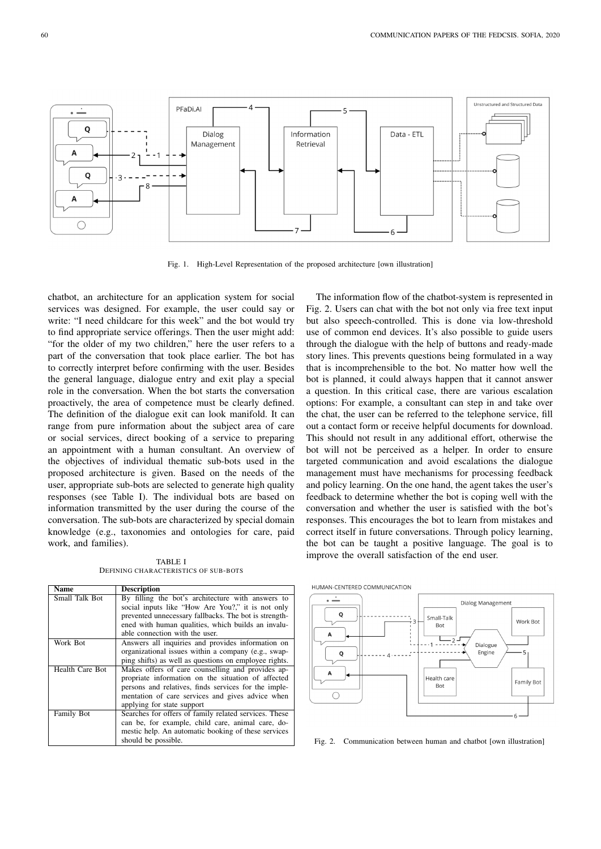

Fig. 1. High-Level Representation of the proposed architecture [own illustration]

chatbot, an architecture for an application system for social services was designed. For example, the user could say or write: "I need childcare for this week" and the bot would try to find appropriate service offerings. Then the user might add: "for the older of my two children," here the user refers to a part of the conversation that took place earlier. The bot has to correctly interpret before confirming with the user. Besides the general language, dialogue entry and exit play a special role in the conversation. When the bot starts the conversation proactively, the area of competence must be clearly defined. The definition of the dialogue exit can look manifold. It can range from pure information about the subject area of care or social services, direct booking of a service to preparing an appointment with a human consultant. An overview of the objectives of individual thematic sub-bots used in the proposed architecture is given. Based on the needs of the user, appropriate sub-bots are selected to generate high quality responses (see Table I). The individual bots are based on information transmitted by the user during the course of the conversation. The sub-bots are characterized by special domain knowledge (e.g., taxonomies and ontologies for care, paid work, and families).

TABLE I DEFINING CHARACTERISTICS OF SUB-BOTS

| <b>Name</b>     | <b>Description</b>                                                                                                                                                                                                                                      |
|-----------------|---------------------------------------------------------------------------------------------------------------------------------------------------------------------------------------------------------------------------------------------------------|
| Small Talk Bot  | By filling the bot's architecture with answers to<br>social inputs like "How Are You?," it is not only<br>prevented unnecessary fallbacks. The bot is strength-<br>ened with human qualities, which builds an invalu-<br>able connection with the user. |
| Work Bot        | Answers all inquiries and provides information on<br>organizational issues within a company (e.g., swap-<br>ping shifts) as well as questions on employee rights.                                                                                       |
| Health Care Bot | Makes offers of care counselling and provides ap-<br>propriate information on the situation of affected<br>persons and relatives, finds services for the imple-<br>mentation of care services and gives advice when<br>applying for state support       |
| Family Bot      | Searches for offers of family related services. These<br>can be, for example, child care, animal care, do-<br>mestic help. An automatic booking of these services<br>should be possible.                                                                |

The information flow of the chatbot-system is represented in Fig. 2. Users can chat with the bot not only via free text input but also speech-controlled. This is done via low-threshold use of common end devices. It's also possible to guide users through the dialogue with the help of buttons and ready-made story lines. This prevents questions being formulated in a way that is incomprehensible to the bot. No matter how well the bot is planned, it could always happen that it cannot answer a question. In this critical case, there are various escalation options: For example, a consultant can step in and take over the chat, the user can be referred to the telephone service, fill out a contact form or receive helpful documents for download. This should not result in any additional effort, otherwise the bot will not be perceived as a helper. In order to ensure targeted communication and avoid escalations the dialogue management must have mechanisms for processing feedback and policy learning. On the one hand, the agent takes the user's feedback to determine whether the bot is coping well with the conversation and whether the user is satisfied with the bot's responses. This encourages the bot to learn from mistakes and correct itself in future conversations. Through policy learning, the bot can be taught a positive language. The goal is to improve the overall satisfaction of the end user.



Fig. 2. Communication between human and chatbot [own illustration]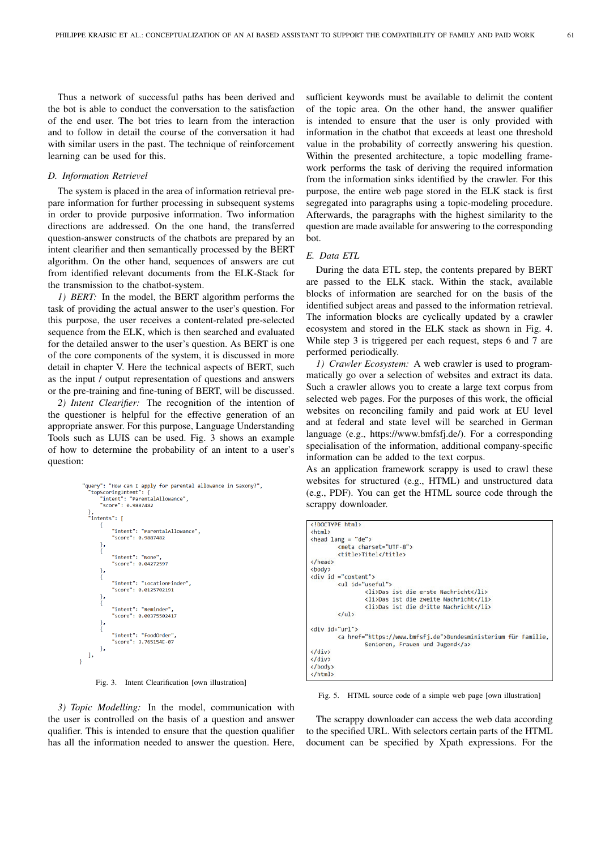Thus a network of successful paths has been derived and the bot is able to conduct the conversation to the satisfaction of the end user. The bot tries to learn from the interaction and to follow in detail the course of the conversation it had with similar users in the past. The technique of reinforcement learning can be used for this.

## *D. Information Retrievel*

The system is placed in the area of information retrieval prepare information for further processing in subsequent systems in order to provide purposive information. Two information directions are addressed. On the one hand, the transferred question-answer constructs of the chatbots are prepared by an intent clearifier and then semantically processed by the BERT algorithm. On the other hand, sequences of answers are cut from identified relevant documents from the ELK-Stack for the transmission to the chatbot-system.

*1) BERT:* In the model, the BERT algorithm performs the task of providing the actual answer to the user's question. For this purpose, the user receives a content-related pre-selected sequence from the ELK, which is then searched and evaluated for the detailed answer to the user's question. As BERT is one of the core components of the system, it is discussed in more detail in chapter V. Here the technical aspects of BERT, such as the input / output representation of questions and answers or the pre-training and fine-tuning of BERT, will be discussed.

*2) Intent Clearifier:* The recognition of the intention of the questioner is helpful for the effective generation of an appropriate answer. For this purpose, Language Understanding Tools such as LUIS can be used. Fig. 3 shows an example of how to determine the probability of an intent to a user's question:

```
"query": "How can I apply for parental allowance in Saxony?",<br>"topScoringIntent": {<br>"intent": "ParentalAllowance",<br>"score": 0.9887482
     },<br>"intents": [
                  "intent": "ParentalAllowance".
                  "score": 0.9887482
           \}"intent": "None",<br>"score": 0.04272597
           \left\{ \right."intent": "LocationFinder"
                  \left\{ \right."intent": "Reminder
                  "score": 0.00375502417"intent": "FoodOrder",
                  "score": 3.765154E-07
          \mathcal{F}\overline{1}\overline{\phantom{a}}
```
Fig. 3. Intent Clearification [own illustration]

*3) Topic Modelling:* In the model, communication with the user is controlled on the basis of a question and answer qualifier. This is intended to ensure that the question qualifier has all the information needed to answer the question. Here,

sufficient keywords must be available to delimit the content of the topic area. On the other hand, the answer qualifier is intended to ensure that the user is only provided with information in the chatbot that exceeds at least one threshold value in the probability of correctly answering his question. Within the presented architecture, a topic modelling framework performs the task of deriving the required information from the information sinks identified by the crawler. For this purpose, the entire web page stored in the ELK stack is first segregated into paragraphs using a topic-modeling procedure. Afterwards, the paragraphs with the highest similarity to the question are made available for answering to the corresponding bot.

## *E. Data ETL*

During the data ETL step, the contents prepared by BERT are passed to the ELK stack. Within the stack, available blocks of information are searched for on the basis of the identified subject areas and passed to the information retrieval. The information blocks are cyclically updated by a crawler ecosystem and stored in the ELK stack as shown in Fig. 4. While step 3 is triggered per each request, steps 6 and 7 are performed periodically.

*1) Crawler Ecosystem:* A web crawler is used to programmatically go over a selection of websites and extract its data. Such a crawler allows you to create a large text corpus from selected web pages. For the purposes of this work, the official websites on reconciling family and paid work at EU level and at federal and state level will be searched in German language (e.g., https://www.bmfsfj.de/). For a corresponding specialisation of the information, additional company-specific information can be added to the text corpus.

As an application framework scrappy is used to crawl these websites for structured (e.g., HTML) and unstructured data (e.g., PDF). You can get the HTML source code through the scrappy downloader.

|                      | html                                                               |  |
|----------------------|--------------------------------------------------------------------|--|
| $\hbox{\tt }$        |                                                                    |  |
|                      | $\epsilon$ head lang = "de">                                       |  |
|                      | <meta charset="utf-8"/>                                            |  |
|                      | <title>Titel</title>                                               |  |
|                      |                                                                    |  |
| <body></body>        |                                                                    |  |
|                      | $\langle \text{div } \text{id} = \text{"content"} \rangle$         |  |
|                      | <ul id="useful"></ul>                                              |  |
|                      | <li>Das ist die erste Nachricht</li>                               |  |
|                      | <li>Das ist die zweite Nachricht</li>                              |  |
|                      | <li>Das ist die dritte Nachricht</li>                              |  |
|                      | $\langle$ /ul>                                                     |  |
| <div id="url"></div> |                                                                    |  |
|                      | <a href="https://www.bmfsfj.de">Bundesministerium für Familie,</a> |  |
|                      | Senioren, Frauen und Jugend                                        |  |
| $\langle$ /div>      |                                                                    |  |
| $\langle$ /div>      |                                                                    |  |
|                      |                                                                    |  |
| $\langle$ /html>     |                                                                    |  |

Fig. 5. HTML source code of a simple web page [own illustration]

The scrappy downloader can access the web data according to the specified URL. With selectors certain parts of the HTML document can be specified by Xpath expressions. For the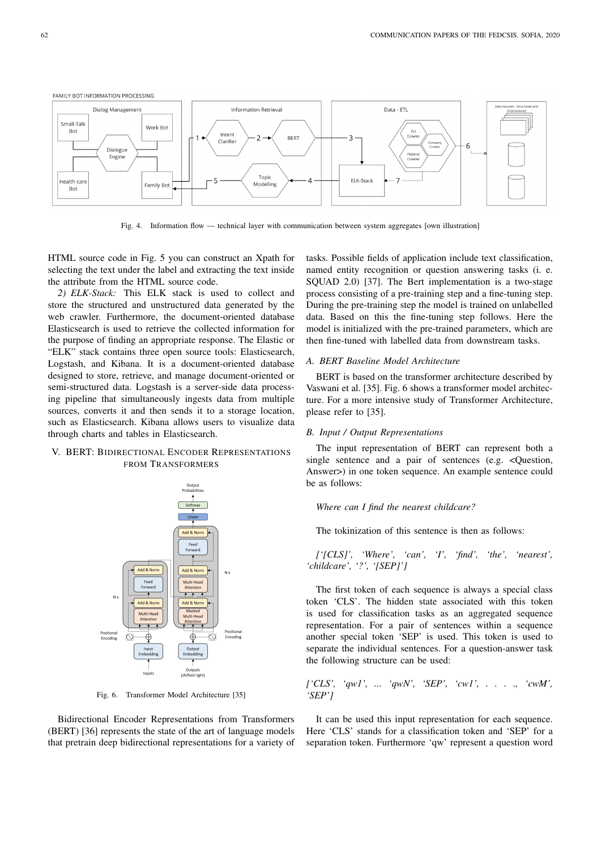

Fig. 4. Information flow — technical layer with communication between system aggregates [own illustration]

HTML source code in Fig. 5 you can construct an Xpath for selecting the text under the label and extracting the text inside the attribute from the HTML source code.

*2) ELK-Stack:* This ELK stack is used to collect and store the structured and unstructured data generated by the web crawler. Furthermore, the document-oriented database Elasticsearch is used to retrieve the collected information for the purpose of finding an appropriate response. The Elastic or "ELK" stack contains three open source tools: Elasticsearch, Logstash, and Kibana. It is a document-oriented database designed to store, retrieve, and manage document-oriented or semi-structured data. Logstash is a server-side data processing pipeline that simultaneously ingests data from multiple sources, converts it and then sends it to a storage location, such as Elasticsearch. Kibana allows users to visualize data through charts and tables in Elasticsearch.

## V. BERT: BIDIRECTIONAL ENCODER REPRESENTATIONS FROM TRANSFORMERS



Fig. 6. Transformer Model Architecture [35]

Bidirectional Encoder Representations from Transformers (BERT) [36] represents the state of the art of language models that pretrain deep bidirectional representations for a variety of tasks. Possible fields of application include text classification, named entity recognition or question answering tasks (i. e. SQUAD 2.0) [37]. The Bert implementation is a two-stage process consisting of a pre-training step and a fine-tuning step. During the pre-training step the model is trained on unlabelled data. Based on this the fine-tuning step follows. Here the model is initialized with the pre-trained parameters, which are then fine-tuned with labelled data from downstream tasks.

#### *A. BERT Baseline Model Architecture*

BERT is based on the transformer architecture described by Vaswani et al. [35]. Fig. 6 shows a transformer model architecture. For a more intensive study of Transformer Architecture, please refer to [35].

#### *B. Input / Output Representations*

The input representation of BERT can represent both a single sentence and a pair of sentences (e.g. < Question, Answer>) in one token sequence. An example sentence could be as follows:

#### *Where can I find the nearest childcare?*

The tokinization of this sentence is then as follows:

$$
['[CLS]', 'Where', 'can', 'T', 'find', 'the', 'nearest', 'children', '?', '[SEP]']
$$

The first token of each sequence is always a special class token 'CLS'. The hidden state associated with this token is used for classification tasks as an aggregated sequence representation. For a pair of sentences within a sequence another special token 'SEP' is used. This token is used to separate the individual sentences. For a question-answer task the following structure can be used:

$$
['CLS', 'qw1', ... 'qwN', 'SEP', 'cw1', ... , 'cwM', 'SEP']
$$

It can be used this input representation for each sequence. Here 'CLS' stands for a classification token and 'SEP' for a separation token. Furthermore 'qw' represent a question word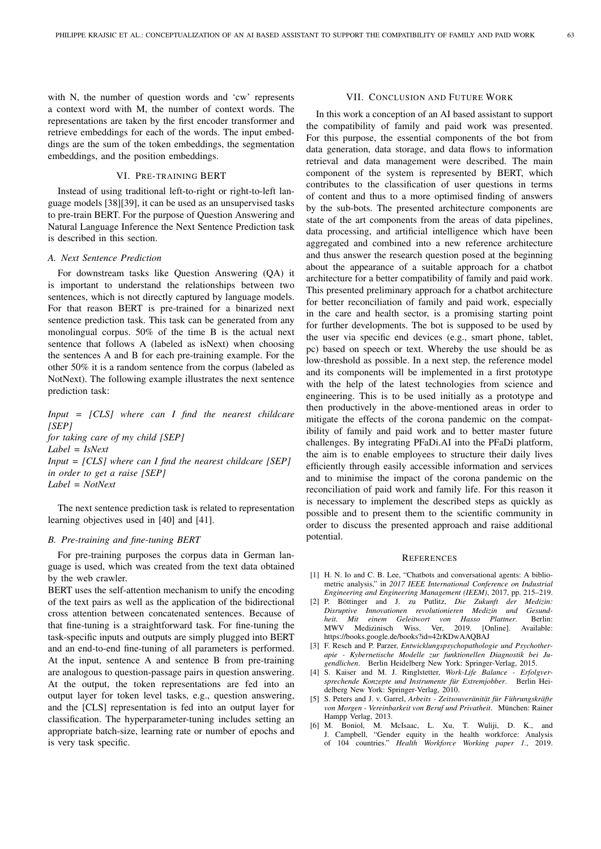with N, the number of question words and 'cw' represents a context word with M, the number of context words. The representations are taken by the first encoder transformer and retrieve embeddings for each of the words. The input embeddings are the sum of the token embeddings, the segmentation embeddings, and the position embeddings.

### VI. PRE-TRAINING BERT

Instead of using traditional left-to-right or right-to-left language models [38][39], it can be used as an unsupervised tasks to pre-train BERT. For the purpose of Question Answering and Natural Language Inference the Next Sentence Prediction task is described in this section.

## *A. Next Sentence Prediction*

For downstream tasks like Question Answering (QA) it is important to understand the relationships between two sentences, which is not directly captured by language models. For that reason BERT is pre-trained for a binarized next sentence prediction task. This task can be generated from any monolingual corpus. 50% of the time B is the actual next sentence that follows A (labeled as isNext) when choosing the sentences A and B for each pre-training example. For the other 50% it is a random sentence from the corpus (labeled as NotNext). The following example illustrates the next sentence prediction task:

*Input = [CLS] where can I find the nearest childcare [SEP]*

*for taking care of my child [SEP] Label = IsNext Input = [CLS] where can I find the nearest childcare [SEP] in order to get a raise [SEP] Label = NotNext*

The next sentence prediction task is related to representation learning objectives used in [40] and [41].

#### *B. Pre-training and fine-tuning BERT*

For pre-training purposes the corpus data in German language is used, which was created from the text data obtained by the web crawler.

BERT uses the self-attention mechanism to unify the encoding of the text pairs as well as the application of the bidirectional cross attention between concatenated sentences. Because of that fine-tuning is a straightforward task. For fine-tuning the task-specific inputs and outputs are simply plugged into BERT and an end-to-end fine-tuning of all parameters is performed. At the input, sentence A and sentence B from pre-training are analogous to question-passage pairs in question answering. At the output, the token representations are fed into an output layer for token level tasks, e.g., question answering, and the [CLS] representation is fed into an output layer for classification. The hyperparameter-tuning includes setting an appropriate batch-size, learning rate or number of epochs and is very task specific.

## VII. CONCLUSION AND FUTURE WORK

In this work a conception of an AI based assistant to support the compatibility of family and paid work was presented. For this purpose, the essential components of the bot from data generation, data storage, and data flows to information retrieval and data management were described. The main component of the system is represented by BERT, which contributes to the classification of user questions in terms of content and thus to a more optimised finding of answers by the sub-bots. The presented architecture components are state of the art components from the areas of data pipelines, data processing, and artificial intelligence which have been aggregated and combined into a new reference architecture and thus answer the research question posed at the beginning about the appearance of a suitable approach for a chatbot architecture for a better compatibility of family and paid work. This presented preliminary approach for a chatbot architecture for better reconciliation of family and paid work, especially in the care and health sector, is a promising starting point for further developments. The bot is supposed to be used by the user via specific end devices (e.g., smart phone, tablet, pc) based on speech or text. Whereby the use should be as low-threshold as possible. In a next step, the reference model and its components will be implemented in a first prototype with the help of the latest technologies from science and engineering. This is to be used initially as a prototype and then productively in the above-mentioned areas in order to mitigate the effects of the corona pandemic on the compatibility of family and paid work and to better master future challenges. By integrating PFaDi.AI into the PFaDi platform, the aim is to enable employees to structure their daily lives efficiently through easily accessible information and services and to minimise the impact of the corona pandemic on the reconciliation of paid work and family life. For this reason it is necessary to implement the described steps as quickly as possible and to present them to the scientific community in order to discuss the presented approach and raise additional potential.

#### **REFERENCES**

- [1] H. N. Io and C. B. Lee, "Chatbots and conversational agents: A bibliometric analysis," in *2017 IEEE International Conference on Industrial Engineering and Engineering Management (IEEM)*, 2017, pp. 215–219.
- [2] P. Böttinger and J. zu Putlitz, *Die Zukunft der Medizin: Disruptive Innovationen revolutionieren Medizin und Gesundheit. Mit einem Geleitwort von Hasso Plattner*. Berlin: MWV Medizinisch Wiss. Ver, 2019. [Online]. Available: https://books.google.de/books?id=42rKDwAAQBAJ
- [3] F. Resch and P. Parzer, *Entwicklungspsychopathologie und Psychotherapie - Kybernetische Modelle zur funktionellen Diagnostik bei Jugendlichen*. Berlin Heidelberg New York: Springer-Verlag, 2015.
- [4] S. Kaiser and M. J. Ringlstetter, *Work-Life Balance Erfolgversprechende Konzepte und Instrumente für Extremjobber*. Berlin Heidelberg New York: Springer-Verlag, 2010.
- [5] S. Peters and J. v. Garrel, *Arbeits Zeitsouveränität für Führungskräfte von Morgen - Vereinbarkeit von Beruf und Privatheit*. München: Rainer Hampp Verlag, 2013.
- [6] M. Boniol, M. McIsaac, L. Xu, T. Wuliji, D. K., and J. Campbell, "Gender equity in the health workforce: Analysis of 104 countries." *Health Workforce Working paper 1.*, 2019.